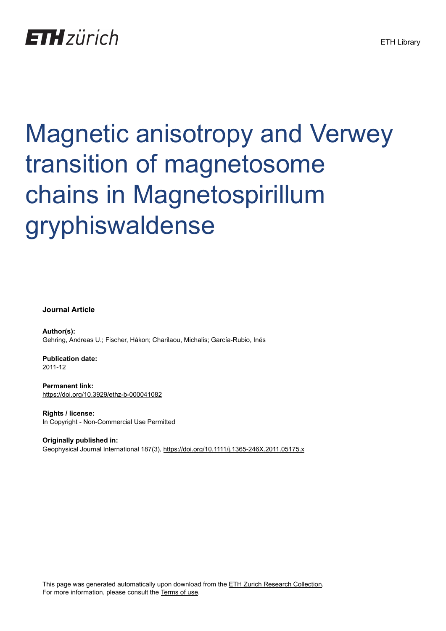## **ETH** zürich

# Magnetic anisotropy and Verwey transition of magnetosome chains in Magnetospirillum gryphiswaldense

**Journal Article**

**Author(s):** Gehring, Andreas U.; Fischer, Håkon; Charilaou, Michalis; García-Rubio, Inés

**Publication date:** 2011-12

**Permanent link:** <https://doi.org/10.3929/ethz-b-000041082>

**Rights / license:** [In Copyright - Non-Commercial Use Permitted](http://rightsstatements.org/page/InC-NC/1.0/)

**Originally published in:** Geophysical Journal International 187(3),<https://doi.org/10.1111/j.1365-246X.2011.05175.x>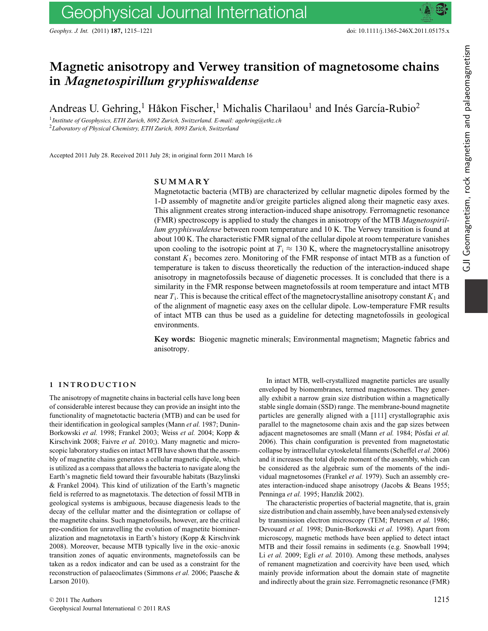## Geophysical Journal International

*Geophys. J. Int.* (2011) **187,** 1215–1221 doi: 10.1111/j.1365-246X.2011.05175.x

### **Magnetic anisotropy and Verwey transition of magnetosome chains in** *Magnetospirillum gryphiswaldense*

Andreas U. Gehring,<sup>1</sup> Håkon Fischer,<sup>1</sup> Michalis Charilaou<sup>1</sup> and Inés García-Rubio<sup>2</sup>

<sup>1</sup>*Institute of Geophysics, ETH Zurich, 8092 Zurich, Switzerland. E-mail: agehring@ethz.ch* <sup>2</sup>*Laboratory of Physical Chemistry, ETH Zurich, 8093 Zurich, Switzerland*

Accepted 2011 July 28. Received 2011 July 28; in original form 2011 March 16

#### **SUMMARY**

Magnetotactic bacteria (MTB) are characterized by cellular magnetic dipoles formed by the 1-D assembly of magnetite and/or greigite particles aligned along their magnetic easy axes. This alignment creates strong interaction-induced shape anisotropy. Ferromagnetic resonance (FMR) spectroscopy is applied to study the changes in anisotropy of the MTB *Magnetospirillum gryphiswaldense* between room temperature and 10 K. The Verwey transition is found at about 100 K. The characteristic FMR signal of the cellular dipole at room temperature vanishes upon cooling to the isotropic point at  $T_i \approx 130$  K, where the magnetocrystalline anisotropy constant  $K_1$  becomes zero. Monitoring of the FMR response of intact MTB as a function of temperature is taken to discuss theoretically the reduction of the interaction-induced shape anisotropy in magnetofossils because of diagenetic processes. It is concluded that there is a similarity in the FMR response between magnetofossils at room temperature and intact MTB near  $T_i$ . This is because the critical effect of the magnetocrystalline anisotropy constant  $K_1$  and of the alignment of magnetic easy axes on the cellular dipole. Low-temperature FMR results of intact MTB can thus be used as a guideline for detecting magnetofossils in geological environments.

**Key words:** Biogenic magnetic minerals; Environmental magnetism; Magnetic fabrics and anisotropy.

#### **1 INTRODUCTION**

The anisotropy of magnetite chains in bacterial cells have long been of considerable interest because they can provide an insight into the functionality of magnetotactic bacteria (MTB) and can be used for their identification in geological samples (Mann *et al.* 1987; Dunin-Borkowski *et al.* 1998; Frankel 2003; Weiss *et al.* 2004; Kopp & Kirschvink 2008; Faivre *et al.* 2010;). Many magnetic and microscopic laboratory studies on intact MTB have shown that the assembly of magnetite chains generates a cellular magnetic dipole, which is utilized as a compass that allows the bacteria to navigate along the Earth's magnetic field toward their favourable habitats (Bazylinski & Frankel 2004). This kind of utilization of the Earth's magnetic field is referred to as magnetotaxis. The detection of fossil MTB in geological systems is ambiguous, because diagenesis leads to the decay of the cellular matter and the disintegration or collapse of the magnetite chains. Such magnetofossils, however, are the critical pre-condition for unravelling the evolution of magnetite biomineralization and magnetotaxis in Earth's history (Kopp & Kirschvink 2008). Moreover, because MTB typically live in the oxic–anoxic transition zones of aquatic environments, magnetofossils can be taken as a redox indicator and can be used as a constraint for the reconstruction of palaeoclimates (Simmons *et al.* 2006; Paasche & Larson 2010).

In intact MTB, well-crystallized magnetite particles are usually enveloped by biomembranes, termed magnetosomes. They generally exhibit a narrow grain size distribution within a magnetically stable single domain (SSD) range. The membrane-bound magnetite particles are generally aligned with a [111] crystallographic axis parallel to the magnetosome chain axis and the gap sizes between adjacent magnetosomes are small (Mann et al. 1984; Pósfai et al. 2006). This chain configuration is prevented from magnetostatic collapse by intracellular cytoskeletal filaments (Scheffel *et al.* 2006) and it increases the total dipole moment of the assembly, which can be considered as the algebraic sum of the moments of the individual magnetosomes (Frankel *et al.* 1979). Such an assembly creates interaction-induced shape anisotropy (Jacobs & Beans 1955; Penninga *et al.* 1995; Hanzlik 2002).

The characteristic properties of bacterial magnetite, that is, grain size distribution and chain assembly, have been analysed extensively by transmission electron microscopy (TEM; Petersen *et al.* 1986; Devouard *et al.* 1998; Dunin-Borkowski *et al.* 1998). Apart from microscopy, magnetic methods have been applied to detect intact MTB and their fossil remains in sediments (e.g. Snowball 1994; Li *et al.* 2009; Egli *et al.* 2010). Among these methods, analyses of remanent magnetization and coercivity have been used, which mainly provide information about the domain state of magnetite and indirectly about the grain size. Ferromagnetic resonance (FMR)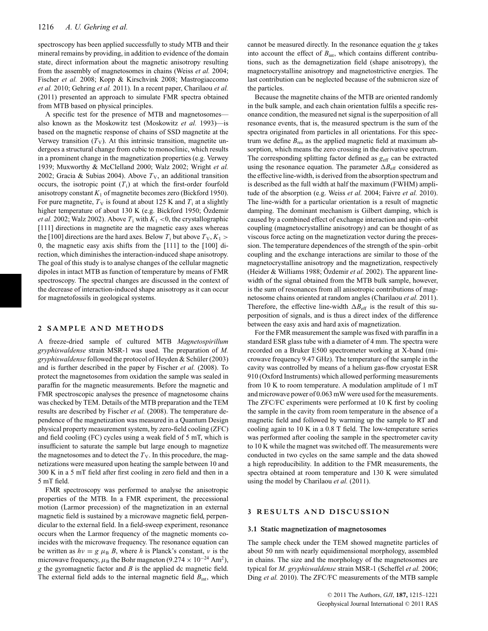spectroscopy has been applied successfully to study MTB and their mineral remains by providing, in addition to evidence of the domain state, direct information about the magnetic anisotropy resulting from the assembly of magnetosomes in chains (Weiss *et al.* 2004; Fischer *et al.* 2008; Kopp & Kirschvink 2008; Mastrogiaccomo *et al.* 2010; Gehring *et al.* 2011). In a recent paper, Charilaou *et al.* (2011) presented an approach to simulate FMR spectra obtained from MTB based on physical principles.

A specific test for the presence of MTB and magnetosomes also known as the Moskowitz test (Moskowitz *et al.* 1993)—is based on the magnetic response of chains of SSD magnetite at the Verwey transition  $(T_V)$ . At this intrinsic transition, magnetite undergoes a structural change from cubic to monoclinic, which results in a prominent change in the magnetization properties (e.g. Verwey 1939; Muxworthy & McClelland 2000; Walz 2002; Wright *et al.* 2002; Gracia & Subias 2004). Above  $T_v$ , an additional transition occurs, the isotropic point  $(T_i)$  at which the first-order fourfold anisotropy constant  $K_1$  of magnetite becomes zero (Bickford 1950). For pure magnetite,  $T_V$  is found at about 125 K and  $T_i$  at a slightly higher temperature of about 130 K (e.g. Bickford 1950; Özdemir *et al.* 2002; Walz 2002). Above  $T_i$  with  $K_1 < 0$ , the crystallographic [111] directions in magnetite are the magnetic easy axes whereas the [100] directions are the hard axes. Below  $T_i$  but above  $T_V, K_1 >$ 0, the magnetic easy axis shifts from the [111] to the [100] direction, which diminishes the interaction-induced shape anisotropy. The goal of this study is to analyse changes of the cellular magnetic dipoles in intact MTB as function of temperature by means of FMR spectroscopy. The spectral changes are discussed in the context of the decrease of interaction-induced shape anisotropy as it can occur for magnetofossils in geological systems.

#### **2 SAMPLE AND METHODS**

A freeze-dried sample of cultured MTB *Magnetospirillum gryphiswaldense* strain MSR-1 was used. The preparation of *M. gryphiswaldense* followed the protocol of Heyden & Schuler (2003) ¨ and is further described in the paper by Fischer *et al.* (2008). To protect the magnetosomes from oxidation the sample was sealed in paraffin for the magnetic measurements. Before the magnetic and FMR spectroscopic analyses the presence of magnetosome chains was checked by TEM. Details of the MTB preparation and the TEM results are described by Fischer *et al.* (2008). The temperature dependence of the magnetization was measured in a Quantum Design physical property measurement system, by zero-field cooling (ZFC) and field cooling (FC) cycles using a weak field of 5 mT, which is insufficient to saturate the sample but large enough to magnetize the magnetosomes and to detect the  $T_V$ . In this procedure, the magnetizations were measured upon heating the sample between 10 and 300 K in a 5 mT field after first cooling in zero field and then in a 5 mT field.

FMR spectroscopy was performed to analyse the anisotropic properties of the MTB. In a FMR experiment, the precessional motion (Larmor precession) of the magnetization in an external magnetic field is sustained by a microwave magnetic field, perpendicular to the external field. In a field-sweep experiment, resonance occurs when the Larmor frequency of the magnetic moments coincides with the microwave frequency. The resonance equation can be written as  $hv = g \mu_B B$ , where *h* is Planck's constant, *v* is the microwave frequency,  $\mu_B$  the Bohr magneton (9.274 × 10<sup>-24</sup> Am<sup>2</sup>), *g* the gyromagnetic factor and *B* is the applied dc magnetic field. The external field adds to the internal magnetic field  $B_{\text{int}}$ , which

cannot be measured directly. In the resonance equation the *g* takes into account the effect of  $B_{\text{int}}$ , which contains different contributions, such as the demagnetization field (shape anisotropy), the magnetocrystalline anisotropy and magnetostrictive energies. The last contribution can be neglected because of the submicron size of the particles.

Because the magnetite chains of the MTB are oriented randomly in the bulk sample, and each chain orientation fulfils a specific resonance condition, the measured net signal is the superposition of all resonance events, that is, the measured spectrum is the sum of the spectra originated from particles in all orientations. For this spectrum we define  $B_{res}$  as the applied magnetic field at maximum absorption, which means the zero crossing in the derivative spectrum. The corresponding splitting factor defined as  $g_{\text{eff}}$  can be extracted using the resonance equation. The parameter  $\Delta B_{\text{eff}}$  considered as the effective line-width, is derived from the absorption spectrum and is described as the full width at half the maximum (FWHM) amplitude of the absorption (e.g. Weiss *et al.* 2004; Faivre *et al.* 2010). The line-width for a particular orientation is a result of magnetic damping. The dominant mechanism is Gilbert damping, which is caused by a combined effect of exchange interaction and spin–orbit coupling (magnetocrystalline anisotropy) and can be thought of as viscous force acting on the magnetization vector during the precession. The temperature dependences of the strength of the spin–orbit coupling and the exchange interactions are similar to those of the magnetocrystalline anisotropy and the magnetization, respectively (Heider & Williams 1988; Özdemir et al. 2002). The apparent linewidth of the signal obtained from the MTB bulk sample, however, is the sum of resonances from all anisotropic contributions of magnetosome chains oriented at random angles (Charilaou *et al.* 2011). Therefore, the effective line-width  $\Delta B_{\text{eff}}$  is the result of this superposition of signals, and is thus a direct index of the difference between the easy axis and hard axis of magnetization.

For the FMR measurement the sample was fixed with paraffin in a standard ESR glass tube with a diameter of 4 mm. The spectra were recorded on a Bruker E500 spectrometer working at X-band (microwave frequency 9.47 GHz). The temperature of the sample in the cavity was controlled by means of a helium gas-flow cryostat ESR 910 (Oxford Instruments) which allowed performing measurements from 10 K to room temperature. A modulation amplitude of 1 mT and microwave power of 0.063 mW were used for the measurements. The ZFC/FC experiments were performed at 10 K first by cooling the sample in the cavity from room temperature in the absence of a magnetic field and followed by warming up the sample to RT and cooling again to 10 K in a 0.8 T field. The low-temperature series was performed after cooling the sample in the spectrometer cavity to 10 K while the magnet was switched off. The measurements were conducted in two cycles on the same sample and the data showed a high reproducibility. In addition to the FMR measurements, the spectra obtained at room temperature and 130 K were simulated using the model by Charilaou *et al.* (2011).

#### **3 RESULTS AND DISCUSSION**

#### **3.1 Static magnetization of magnetosomes**

The sample check under the TEM showed magnetite particles of about 50 nm with nearly equidimensional morphology, assembled in chains. The size and the morphology of the magnetosomes are typical for *M. gryphiswaldense* strain MSR-1 (Scheffel *et al.* 2006; Ding *et al.* 2010). The ZFC/FC measurements of the MTB sample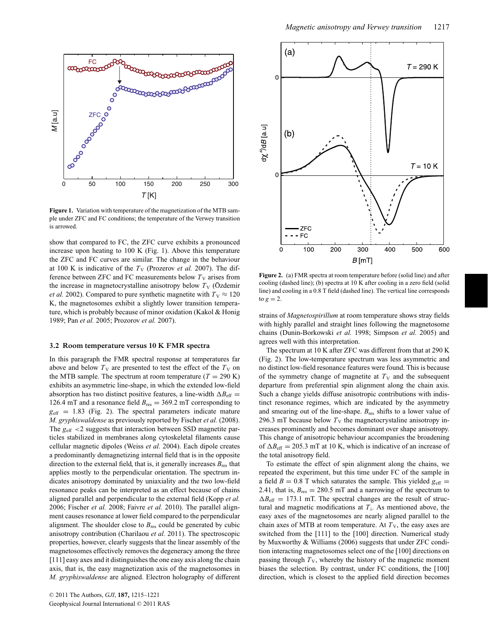

**Figure 1.** Variation with temperature of the magnetization of the MTB sample under ZFC and FC conditions; the temperature of the Verwey transition is arrowed.

show that compared to FC, the ZFC curve exhibits a pronounced increase upon heating to 100 K (Fig. 1). Above this temperature the ZFC and FC curves are similar. The change in the behaviour at 100 K is indicative of the  $T_V$  (Prozerov *et al.* 2007). The difference between ZFC and FC measurements below  $T_V$  arises from the increase in magnetocrystalline anisotropy below  $T_V$  (Özdemir *et al.* 2002). Compared to pure synthetic magnetite with  $T_v \approx 120$ K, the magnetosomes exhibit a slightly lower transition temperature, which is probably because of minor oxidation (Kakol & Honig 1989; Pan *et al.* 2005; Prozorov *et al.* 2007).

#### **3.2 Room temperature versus 10 K FMR spectra**

In this paragraph the FMR spectral response at temperatures far above and below  $T_V$  are presented to test the effect of the  $T_V$  on the MTB sample. The spectrum at room temperature  $(T = 290 \text{ K})$ exhibits an asymmetric line-shape, in which the extended low-field absorption has two distinct positive features, a line-width  $\Delta B_{\text{eff}} =$ 126.4 mT and a resonance field  $B_{res} = 369.2$  mT corresponding to  $g<sub>eff</sub> = 1.83$  (Fig. 2). The spectral parameters indicate mature *M. gryphiswaldense* as previously reported by Fischer *et al.* (2008). The  $g_{\text{eff}}$  <2 suggests that interaction between SSD magnetite particles stabilized in membranes along cytoskeletal filaments cause cellular magnetic dipoles (Weiss *et al.* 2004). Each dipole creates a predominantly demagnetizing internal field that is in the opposite direction to the external field, that is, it generally increases  $B_{res}$  that applies mostly to the perpendicular orientation. The spectrum indicates anisotropy dominated by uniaxiality and the two low-field resonance peaks can be interpreted as an effect because of chains aligned parallel and perpendicular to the external field (Kopp *et al.* 2006; Fischer *et al.* 2008; Faivre *et al.* 2010). The parallel alignment causes resonance at lower field compared to the perpendicular alignment. The shoulder close to  $B_{res}$  could be generated by cubic anisotropy contribution (Charilaou *et al.* 2011). The spectroscopic properties, however, clearly suggests that the linear assembly of the magnetosomes effectively removes the degeneracy among the three [111] easy axes and it distinguishes the one easy axis along the chain axis, that is, the easy magnetization axis of the magnetosomes in *M. gryphiswaldense* are aligned. Electron holography of different



**Figure 2.** (a) FMR spectra at room temperature before (solid line) and after cooling (dashed line); (b) spectra at 10 K after cooling in a zero field (solid line) and cooling in a 0.8 T field (dashed line). The vertical line corresponds to  $g = 2$ .

strains of *Magnetospirillum* at room temperature shows stray fields with highly parallel and straight lines following the magnetosome chains (Dunin-Borkowski *et al.* 1998; Simpson *et al.* 2005) and agrees well with this interpretation.

The spectrum at 10 K after ZFC was different from that at 290 K (Fig. 2). The low-temperature spectrum was less asymmetric and no distinct low-field resonance features were found. This is because of the symmetry change of magnetite at  $T_V$  and the subsequent departure from preferential spin alignment along the chain axis. Such a change yields diffuse anisotropic contributions with indistinct resonance regimes, which are indicated by the asymmetry and smearing out of the line-shape. *B*res shifts to a lower value of 296.3 mT because below  $T_V$  the magnetocrystaline anisotropy increases prominently and becomes dominant over shape anisotropy. This change of anisotropic behaviour accompanies the broadening of  $\Delta B_{\text{eff}} = 205.3 \text{ mT}$  at 10 K, which is indicative of an increase of the total anisotropy field.

To estimate the effect of spin alignment along the chains, we repeated the experiment, but this time under FC of the sample in a field  $B = 0.8$  T which saturates the sample. This yielded  $g_{\text{eff}} =$ 2.41, that is,  $B_{res} = 280.5$  mT and a narrowing of the spectrum to  $\Delta B_{\text{eff}} = 173.1$  mT. The spectral changes are the result of structural and magnetic modifications at *T*i. As mentioned above, the easy axes of the magnetosomes are nearly aligned parallel to the chain axes of MTB at room temperature. At  $T_V$ , the easy axes are switched from the [111] to the [100] direction. Numerical study by Muxworthy & Williams (2006) suggests that under ZFC condition interacting magnetosomes select one of the [100] directions on passing through  $T_V$ , whereby the history of the magnetic moment biases the selection. By contrast, under FC conditions, the [100] direction, which is closest to the applied field direction becomes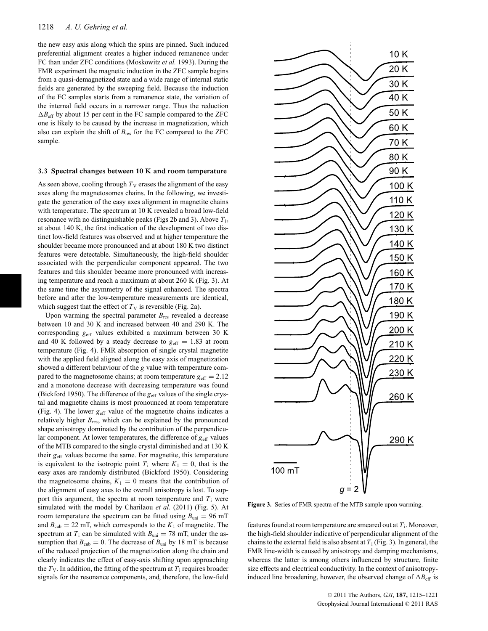the new easy axis along which the spins are pinned. Such induced preferential alignment creates a higher induced remanence under FC than under ZFC conditions (Moskowitz *et al.* 1993). During the FMR experiment the magnetic induction in the ZFC sample begins from a quasi-demagnetized state and a wide range of internal static fields are generated by the sweeping field. Because the induction of the FC samples starts from a remanence state, the variation of the internal field occurs in a narrower range. Thus the reduction  $\Delta B_{\text{eff}}$  by about 15 per cent in the FC sample compared to the ZFC one is likely to be caused by the increase in magnetization, which also can explain the shift of  $B_{res}$  for the FC compared to the ZFC sample.

#### **3.3 Spectral changes between 10 K and room temperature**

As seen above, cooling through  $T_V$  erases the alignment of the easy axes along the magnetosomes chains. In the following, we investigate the generation of the easy axes alignment in magnetite chains with temperature. The spectrum at 10 K revealed a broad low-field resonance with no distinguishable peaks (Figs 2b and 3). Above *T*i, at about 140 K, the first indication of the development of two distinct low-field features was observed and at higher temperature the shoulder became more pronounced and at about 180 K two distinct features were detectable. Simultaneously, the high-field shoulder associated with the perpendicular component appeared. The two features and this shoulder became more pronounced with increasing temperature and reach a maximum at about 260 K (Fig. 3). At the same time the asymmetry of the signal enhanced. The spectra before and after the low-temperature measurements are identical, which suggest that the effect of  $T_V$  is reversible (Fig. 2a).

Upon warming the spectral parameter  $B_{res}$  revealed a decrease between 10 and 30 K and increased between 40 and 290 K. The corresponding  $g_{\text{eff}}$  values exhibited a maximum between 30 K and 40 K followed by a steady decrease to  $g_{\text{eff}} = 1.83$  at room temperature (Fig. 4). FMR absorption of single crystal magnetite with the applied field aligned along the easy axis of magnetization showed a different behaviour of the *g* value with temperature compared to the magnetosome chains; at room temperature  $g_{\text{eff}} = 2.12$ and a monotone decrease with decreasing temperature was found (Bickford 1950). The difference of the  $g_{\text{eff}}$  values of the single crystal and magnetite chains is most pronounced at room temperature (Fig. 4). The lower  $g_{\text{eff}}$  value of the magnetite chains indicates a relatively higher  $B_{res}$ , which can be explained by the pronounced shape anisotropy dominated by the contribution of the perpendicular component. At lower temperatures, the difference of  $g_{\text{eff}}$  values of the MTB compared to the single crystal diminished and at 130 K their  $g_{\text{eff}}$  values become the same. For magnetite, this temperature is equivalent to the isotropic point  $T_i$  where  $K_1 = 0$ , that is the easy axes are randomly distributed (Bickford 1950). Considering the magnetosome chains,  $K_1 = 0$  means that the contribution of the alignment of easy axes to the overall anisotropy is lost. To support this argument, the spectra at room temperature and  $T_i$  were simulated with the model by Charilaou *et al.* (2011) (Fig. 5). At room temperature the spectrum can be fitted using  $B_{\text{uni}} = 96 \text{ mT}$ and  $B_{\text{cub}} = 22$  mT, which corresponds to the  $K_1$  of magnetite. The spectrum at  $T_i$  can be simulated with  $B_{\text{uni}} = 78$  mT, under the assumption that  $B_{\text{cub}} = 0$ . The decrease of  $B_{\text{uni}}$  by 18 mT is because of the reduced projection of the magnetization along the chain and clearly indicates the effect of easy-axis shifting upon approaching the  $T_V$ . In addition, the fitting of the spectrum at  $T_i$  requires broader signals for the resonance components, and, therefore, the low-field



**Figure 3.** Series of FMR spectra of the MTB sample upon warming.

features found at room temperature are smeared out at *T*i. Moreover, the high-field shoulder indicative of perpendicular alignment of the chains to the external field is also absent at  $T_i$  (Fig. 3). In general, the FMR line-width is caused by anisotropy and damping mechanisms, whereas the latter is among others influenced by structure, finite size effects and electrical conductivity. In the context of anisotropyinduced line broadening, however, the observed change of  $\Delta B_{\text{eff}}$  is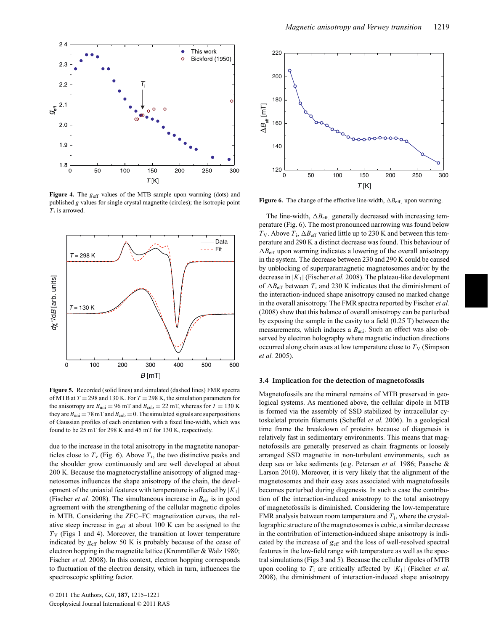

**Figure 4.** The  $g_{\text{eff}}$  values of the MTB sample upon warming (dots) and published *g* values for single crystal magnetite (circles); the isotropic point *T*<sup>i</sup> is arrowed.



**Figure 5.** Recorded (solid lines) and simulated (dashed lines) FMR spectra of MTB at *T* = 298 and 130 K. For *T* = 298 K, the simulation parameters for the anisotropy are  $B_{\text{uni}} = 96$  mT and  $B_{\text{cub}} = 22$  mT, whereas for  $T = 130$  K they are  $B_{\text{uni}} = 78 \text{ mT}$  and  $B_{\text{cub}} = 0$ . The simulated signals are superpositions of Gaussian profiles of each orientation with a fixed line-width, which was found to be 25 mT for 298 K and 45 mT for 130 K, respectively.

due to the increase in the total anisotropy in the magnetite nanoparticles close to  $T_v$  (Fig. 6). Above  $T_i$ , the two distinctive peaks and the shoulder grow continuously and are well developed at about 200 K. Because the magnetocrystalline anisotropy of aligned magnetosomes influences the shape anisotropy of the chain, the development of the uniaxial features with temperature is affected by  $|K_1|$ (Fischer *et al.* 2008). The simultaneous increase in  $B_{res}$  is in good agreement with the strengthening of the cellular magnetic dipoles in MTB. Considering the ZFC–FC magnetization curves, the relative steep increase in *g*eff at about 100 K can be assigned to the  $T_V$  (Figs 1 and 4). Moreover, the transition at lower temperature indicated by  $g_{\text{eff}}$  below 50 K is probably because of the cease of electron hopping in the magnetite lattice (Kronmüller & Walz 1980; Fischer *et al.* 2008). In this context, electron hopping corresponds to fluctuation of the electron density, which in turn, influences the spectroscopic splitting factor.



**Figure 6.** The change of the effective line-width,  $\Delta B_{\text{eff}}$ , upon warming.

The line-width,  $\Delta B_{\text{eff}}$  generally decreased with increasing temperature (Fig. 6). The most pronounced narrowing was found below  $T_V$ . Above  $T_i$ ,  $\Delta B_{\text{eff}}$  varied little up to 230 K and between this temperature and 290 K a distinct decrease was found. This behaviour of  $\Delta B_{\text{eff}}$  upon warming indicates a lowering of the overall anisotropy in the system. The decrease between 230 and 290 K could be caused by unblocking of superparamagnetic magnetosomes and/or by the decrease in |*K*1| (Fischer *et al.* 2008). The plateau-like development of  $\Delta B_{\text{eff}}$  between  $T_i$  and 230 K indicates that the diminishment of the interaction-induced shape anisotropy caused no marked change in the overall anisotropy. The FMR spectra reported by Fischer *et al.* (2008) show that this balance of overall anisotropy can be perturbed by exposing the sample in the cavity to a field (0.25 T) between the measurements, which induces a  $B_{\text{uni}}$ . Such an effect was also observed by electron holography where magnetic induction directions occurred along chain axes at low temperature close to  $T_V$  (Simpson *et al.* 2005).

#### **3.4 Implication for the detection of magnetofossils**

Magnetofossils are the mineral remains of MTB preserved in geological systems. As mentioned above, the cellular dipole in MTB is formed via the assembly of SSD stabilized by intracellular cytoskeletal protein filaments (Scheffel *et al.* 2006). In a geological time frame the breakdown of proteins because of diagenesis is relatively fast in sedimentary environments. This means that magnetofossils are generally preserved as chain fragments or loosely arranged SSD magnetite in non-turbulent environments, such as deep sea or lake sediments (e.g. Petersen *et al.* 1986; Paasche & Larson 2010). Moreover, it is very likely that the alignment of the magnetosomes and their easy axes associated with magnetofossils becomes perturbed during diagenesis. In such a case the contribution of the interaction-induced anisotropy to the total anisotropy of magnetofossils is diminished. Considering the low-temperature FMR analysis between room temperature and *T*i, where the crystallographic structure of the magnetosomes is cubic, a similar decrease in the contribution of interaction-induced shape anisotropy is indicated by the increase of  $g_{\text{eff}}$  and the loss of well-resolved spectral features in the low-field range with temperature as well as the spectral simulations (Figs 3 and 5). Because the cellular dipoles of MTB upon cooling to  $T_i$  are critically affected by  $|K_1|$  (Fischer *et al.*) 2008), the diminishment of interaction-induced shape anisotropy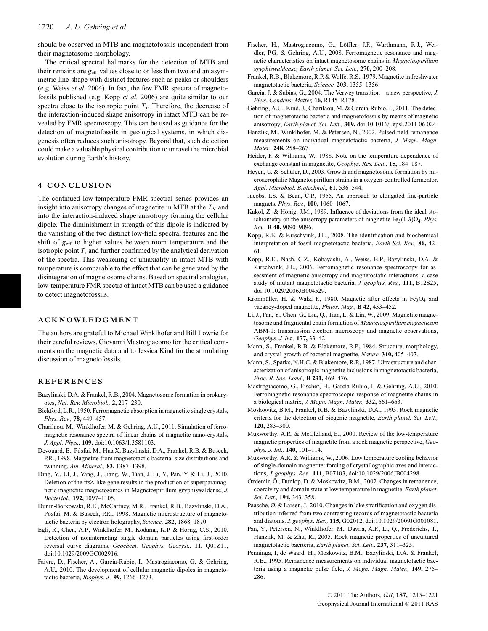should be observed in MTB and magnetofossils independent from their magnetosome morphology.

The critical spectral hallmarks for the detection of MTB and their remains are  $g_{\text{eff}}$  values close to or less than two and an asymmetric line-shape with distinct features such as peaks or shoulders (e.g. Weiss *et al.* 2004). In fact, the few FMR spectra of magnetofossils published (e.g. Kopp *et al.* 2006) are quite similar to our spectra close to the isotropic point  $T_i$ . Therefore, the decrease of the interaction-induced shape anisotropy in intact MTB can be revealed by FMR spectroscopy. This can be used as guidance for the detection of magnetofossils in geological systems, in which diagenesis often reduces such anisotropy. Beyond that, such detection could make a valuable physical contribution to unravel the microbial evolution during Earth's history.

#### **4 CONCLUSION**

The continued low-temperature FMR spectral series provides an insight into anisotropy changes of magnetite in MTB at the  $T_V$  and into the interaction-induced shape anisotropy forming the cellular dipole. The diminishment in strength of this dipole is indicated by the vanishing of the two distinct low-field spectral features and the shift of  $g<sub>eff</sub>$  to higher values between room temperature and the isotropic point  $T_i$  and further confirmed by the analytical derivation of the spectra. This weakening of uniaxiality in intact MTB with temperature is comparable to the effect that can be generated by the disintegration of magnetosome chains. Based on spectral analogies, low-temperature FMR spectra of intact MTB can be used a guidance to detect magnetofossils.

#### **ACKNOWLEDGMENT**

The authors are grateful to Michael Winklhofer and Bill Lowrie for their careful reviews, Giovanni Mastrogiacomo for the critical comments on the magnetic data and to Jessica Kind for the stimulating discussion of magnetofossils.

#### **REFERENCES**

- Bazylinski, D.A. & Frankel, R.B., 2004. Magnetosome formation in prokaryotes, *Nat. Rev. Microbiol.,* **2,** 217–230.
- Bickford, L.R., 1950. Ferromagnetic absorption in magnetite single crystals, *Phys. Rev.,* **78,** 449–457.
- Charilaou, M., Winklhofer, M. & Gehring, A.U., 2011. Simulation of ferromagnetic resonance spectra of linear chains of magnetite nano-crystals, *J. Appl. Phys.,* **109,** doi:10.1063/1.3581103.
- Devouard, B., Pósfai, M., Hua X, Bazylinski, D.A., Frankel, R.B. & Buseck, P.R., 1998. Magnetite from magnetotactic bacteria: size distributions and twinning, *Am. Mineral.,* **83,** 1387–1398.
- Ding, Y., LI, J., Yang, J., Jiang, W., Tian, J. Li, Y, Pan, Y & Li, J., 2010. Deletion of the ftsZ-like gene results in the production of superparamagnetic magnetite magnetosomes in Magnetospirillum gryphiswaldense, *J. Bacteriol.,* **192,** 1097–1105.
- Dunin-Borkowski, R.E., McCartney, M.R., Frankel, R.B., Bazylinski, D.A., Pósfai, M. & Buseck, P.R., 1998. Magnetic microstructure of magnetotactic bacteria by electron holography, *Science,* **282,** 1868–1870.
- Egli, R., Chen, A.P., Winklhofer, M., Kodama, K.P. & Horng, C.S., 2010. Detection of noninteracting single domain particles using first-order reversal curve diagrams, *Geochem. Geophys. Geosyst.,* **11,** Q01Z11, doi:10.1029/2009GC002916.
- Faivre, D., Fischer, A., Garcia-Rubio, I., Mastrogiacomo, G. & Gehring, A.U., 2010. The development of cellular magnetic dipoles in magnetotactic bacteria, *Biophys. J.,* **99,** 1266–1273.
- Fischer, H., Mastrogiacomo, G., Löffler, J.F., Warthmann, R.J., Weidler, P.G. & Gehring, A.U., 2008. Ferromagnetic resonance and magnetic characteristics on intact magnetosome chains in *Magnetospirillum gryphiswaldense, Earth planet. Sci. Lett.,* **270,** 200–208.
- Frankel, R.B., Blakemore, R.P. & Wolfe, R.S., 1979. Magnetite in freshwater magnetotactic bacteria, *Science,* **203,** 1355–1356.
- Garcia, J. & Subias, G., 2004. The Verwey transition a new perspective, *J. Phys. Condens. Matter,* **16,** R145–R178.
- Gehring, A.U., Kind, J., Charilaou, M. & Garcia-Rubio, I., 2011. The detection of magnetotactic bacteria and magnetofossils by means of magnetic anisotropy, *Earth planet. Sci. Lett.,* **309,** doi:10.1016/j.epsl.2011.06.024.
- Hanzlik, M., Winklhofer, M. & Petersen, N., 2002. Pulsed-field-remanence measurements on individual magnetotactic bacteria, *J. Magn. Magn. Mater.,* **248,** 258–267.
- Heider, F. & Williams, W., 1988. Note on the temperature dependence of exchange constant in magnetite, *Geophys. Res. Lett.,* **15,** 184–187.
- Heyen, U. & Schüler, D., 2003. Growth and magnetosome formation by microaerophilic Magnetospirillum strains in a oxygen-controlled fermentor. *Appl. Microbiol. Biotechnol.,* **61,** 536–544.
- Jacobs, I.S. & Bean, C.P., 1955. An approach to elongated fine-particle magnets, *Phys. Rev.,* **100,** 1060–1067.
- Kakol, Z. & Honig, J.M., 1989. Influence of deviations from the ideal stoichiometry on the anisotropy parameters of magnetite  $Fe<sub>3</sub>(1-\delta)O<sub>4</sub>$ , *Phys. Rev.,* **B 40,** 9090–9096.
- Kopp, R.E. & Kirschvink, J.L., 2008. The identification and biochemical interpretation of fossil magnetotactic bacteria, *Earth-Sci. Rev.,* **86,** 42– 61.
- Kopp, R.E., Nash, C.Z., Kobayashi, A., Weiss, B.P, Bazylinski, D.A. & Kirschvink, J.L., 2006. Ferromagnetic resonance spectroscopy for assessment of magnetic anisotropy and magnetostatic interactions: a case study of mutant magnetotactic bacteria, *J. geophys. Res.,* **111,** B12S25, doi:10.1029/2006JB004529.
- Kronmüller, H. & Walz, F., 1980. Magnetic after effects in  $Fe<sub>3</sub>O<sub>4</sub>$  and vacancy-doped magnetite, *Philos. Mag.,* **B 42,** 433–452.
- Li, J., Pan, Y., Chen, G., Liu, Q., Tian, L. & Lin, W., 2009. Magnetite magnetosome and fragmental chain formation of *Magnetospirillum magneticum* ABM-1: transmission electron microscopy and magnetic observations, *Geophys. J. Int.,* **177,** 33–42.
- Mann, S., Frankel, R.B. & Blakemore, R.P., 1984. Structure, morphology, and crystal growth of bacterial magnetite, *Nature,* **310,** 405–407.
- Mann, S., Sparks, N.H.C. & Blakemore, R.P., 1987. Ultrastructure and characterization of anisotropic magnetite inclusions in magnetotactic bacteria, *Proc. R. Soc. Lond.,* **B 231,** 469–476.
- Mastrogiacomo, G., Fischer, H., García-Rubio, I. & Gehring, A.U., 2010. Ferromagnetic resonance spectroscopic response of magnetite chains in a biological matrix, *J. Magn. Magn. Mater.,* **332,** 661–663.
- Moskowitz, B.M., Frankel, R.B. & Bazylinski, D.A., 1993. Rock magnetic criteria for the detection of biogenic magnetite, *Earth planet. Sci. Lett.,* **120,** 283–300.
- Muxworthy, A.R. & McClelland, E., 2000. Review of the low-temperature magnetic properties of magnetite from a rock magnetic perspective, *Geophys. J. Int.,* **140,** 101–114.
- Muxworthy, A.R. & Williams, W., 2006. Low temperature cooling behavior of single-domain magnetite: forcing of crystallographic axes and interactions, *J. geophys. Res.,* **111,** B07103, doi:10.1029/2006JB004298.
- Özdemir, Ö., Dunlop, D. & Moskowitz, B.M., 2002. Changes in remanence, coercivity and domain state at low temperature in magnetite, *Earth planet. Sci. Lett.,* **194,** 343–358.
- Paasche, Ø. & Larsen, J., 2010. Changes in lake stratification and oxygen distribution inferred from two contrasting records of magnetotactic bacteria and diatoms. *J. geophys. Res.,* **115,** G02012, doi:10.1029/2009JG001081.
- Pan, Y., Petersen, N., Winklhofer, M., Davila, A.F., Li, Q., Frederichs, T., Hanzlik, M. & Zhu, R., 2005. Rock magnetic properties of uncultured magnetotactic bacrteria, *Earth planet. Sci. Lett.,* **237,** 311–325.
- Penninga, I, de Waard, H., Moskowitz, B.M., Bazylinski, D.A. & Frankel, R.B., 1995. Remanence measurements on individual magnetotactic bacteria using a magnetic pulse field, *J. Magn. Magn. Mater.,* **149,** 275– 286.